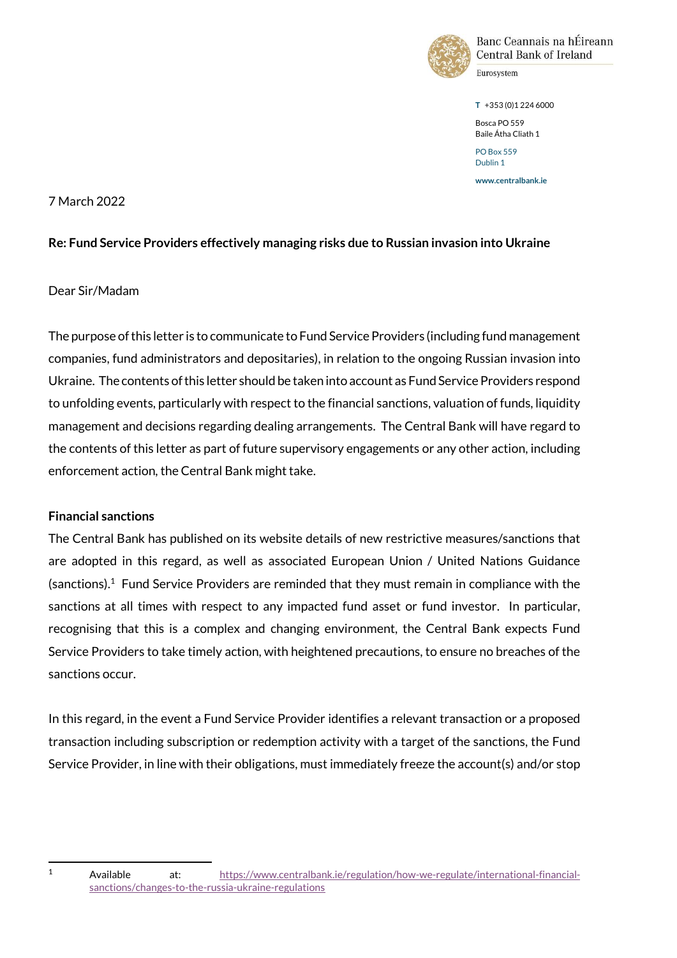

Banc Ceannais na hÉireann Central Bank of Ireland

**T** +353 (0)1 224 6000 Bosca PO 559 Baile Átha Cliath 1 PO Box 559

Dublin 1

**www.centralbank.ie**

# 7 March 2022

# **Re: Fund Service Providers effectively managing risks due to Russian invasion into Ukraine**

# Dear Sir/Madam

The purpose of this letter is to communicate to Fund Service Providers (including fund management companies, fund administrators and depositaries), in relation to the ongoing Russian invasion into Ukraine. The contents ofthis letter should be taken into account as Fund Service Providers respond to unfolding events, particularly with respect to the financial sanctions, valuation of funds, liquidity management and decisions regarding dealing arrangements. The Central Bank will have regard to the contents of this letter as part of future supervisory engagements or any other action, including enforcement action, the Central Bank might take.

### **Financial sanctions**

 $\overline{\phantom{0}}$ 

The Central Bank has published on its website details of new restrictive measures/sanctions that are adopted in this regard, as well as associated European Union / United Nations Guidance (sanctions). 1 Fund Service Providers are reminded that they must remain in compliance with the sanctions at all times with respect to any impacted fund asset or fund investor. In particular, recognising that this is a complex and changing environment, the Central Bank expects Fund Service Providers to take timely action, with heightened precautions, to ensure no breaches of the sanctions occur.

In this regard, in the event a Fund Service Provider identifies a relevant transaction or a proposed transaction including subscription or redemption activity with a target of the sanctions, the Fund Service Provider, in line with their obligations, must immediately freeze the account(s) and/or stop

<sup>1</sup> Available at: [https://www.centralbank.ie/regulation/how-we-regulate/international-financial](https://www.centralbank.ie/regulation/how-we-regulate/international-financial-sanctions/changes-to-the-russia-ukraine-regulations)[sanctions/changes-to-the-russia-ukraine-regulations](https://www.centralbank.ie/regulation/how-we-regulate/international-financial-sanctions/changes-to-the-russia-ukraine-regulations)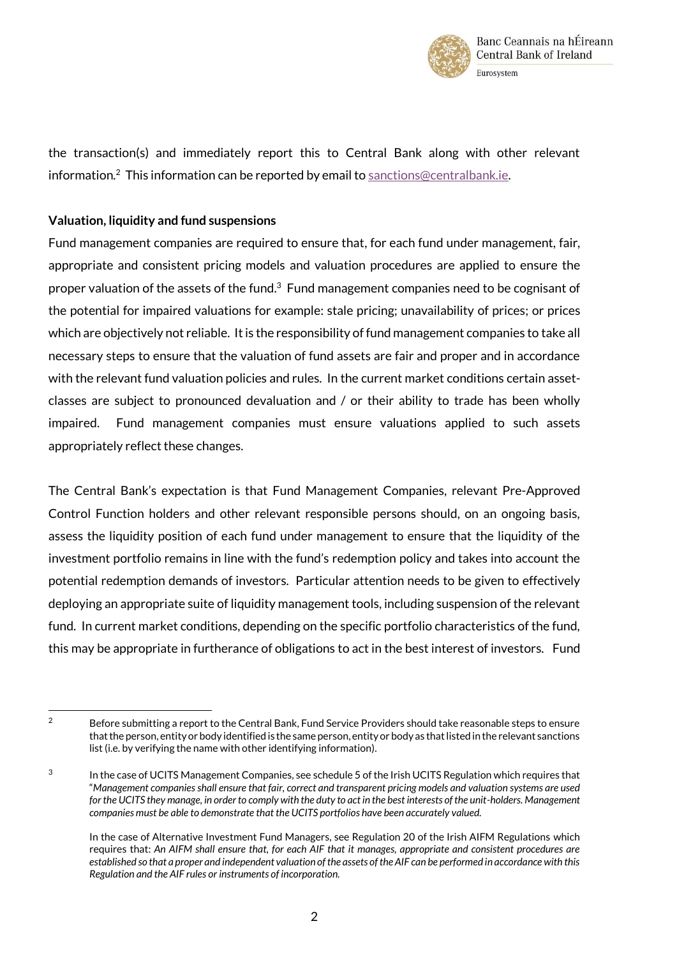

the transaction(s) and immediately report this to Central Bank along with other relevant information.<sup>2</sup> This information can be reported by email to [sanctions@centralbank.ie.](mailto:sanctions@centralbank.ie)

# **Valuation, liquidity and fund suspensions**

ı

Fund management companies are required to ensure that, for each fund under management, fair, appropriate and consistent pricing models and valuation procedures are applied to ensure the proper valuation of the assets of the fund. $3$  Fund management companies need to be cognisant of the potential for impaired valuations for example: stale pricing; unavailability of prices; or prices which are objectively not reliable. It is the responsibility of fund management companies to take all necessary steps to ensure that the valuation of fund assets are fair and proper and in accordance with the relevant fund valuation policies and rules. In the current market conditions certain assetclasses are subject to pronounced devaluation and / or their ability to trade has been wholly impaired. Fund management companies must ensure valuations applied to such assets appropriately reflect these changes.

The Central Bank's expectation is that Fund Management Companies, relevant Pre-Approved Control Function holders and other relevant responsible persons should, on an ongoing basis, assess the liquidity position of each fund under management to ensure that the liquidity of the investment portfolio remains in line with the fund's redemption policy and takes into account the potential redemption demands of investors. Particular attention needs to be given to effectively deploying an appropriate suite of liquidity management tools, including suspension of the relevant fund. In current market conditions, depending on the specific portfolio characteristics of the fund, this may be appropriate in furtherance of obligations to act in the best interest of investors. Fund

<sup>&</sup>lt;sup>2</sup> Before submitting a report to the Central Bank, Fund Service Providers should take reasonable steps to ensure that the person, entity or body identified is the same person, entity or body as that listed in the relevant sanctions list (i.e. by verifying the name with other identifying information).

<sup>3</sup> In the case of UCITS Management Companies, see schedule 5 of the Irish UCITS Regulation which requires that "*Management companies shall ensure that fair, correct and transparent pricing models and valuation systems are used for the UCITS they manage, in order to comply with the duty to act in the best interests of the unit-holders. Management companies must be able to demonstrate that the UCITS portfolios have been accurately valued.* 

In the case of Alternative Investment Fund Managers, see Regulation 20 of the Irish AIFM Regulations which requires that: *An AIFM shall ensure that, for each AIF that it manages, appropriate and consistent procedures are established so that a proper and independent valuation of the assets of the AIF can be performed in accordance with this Regulation and the AIF rules or instruments of incorporation.*